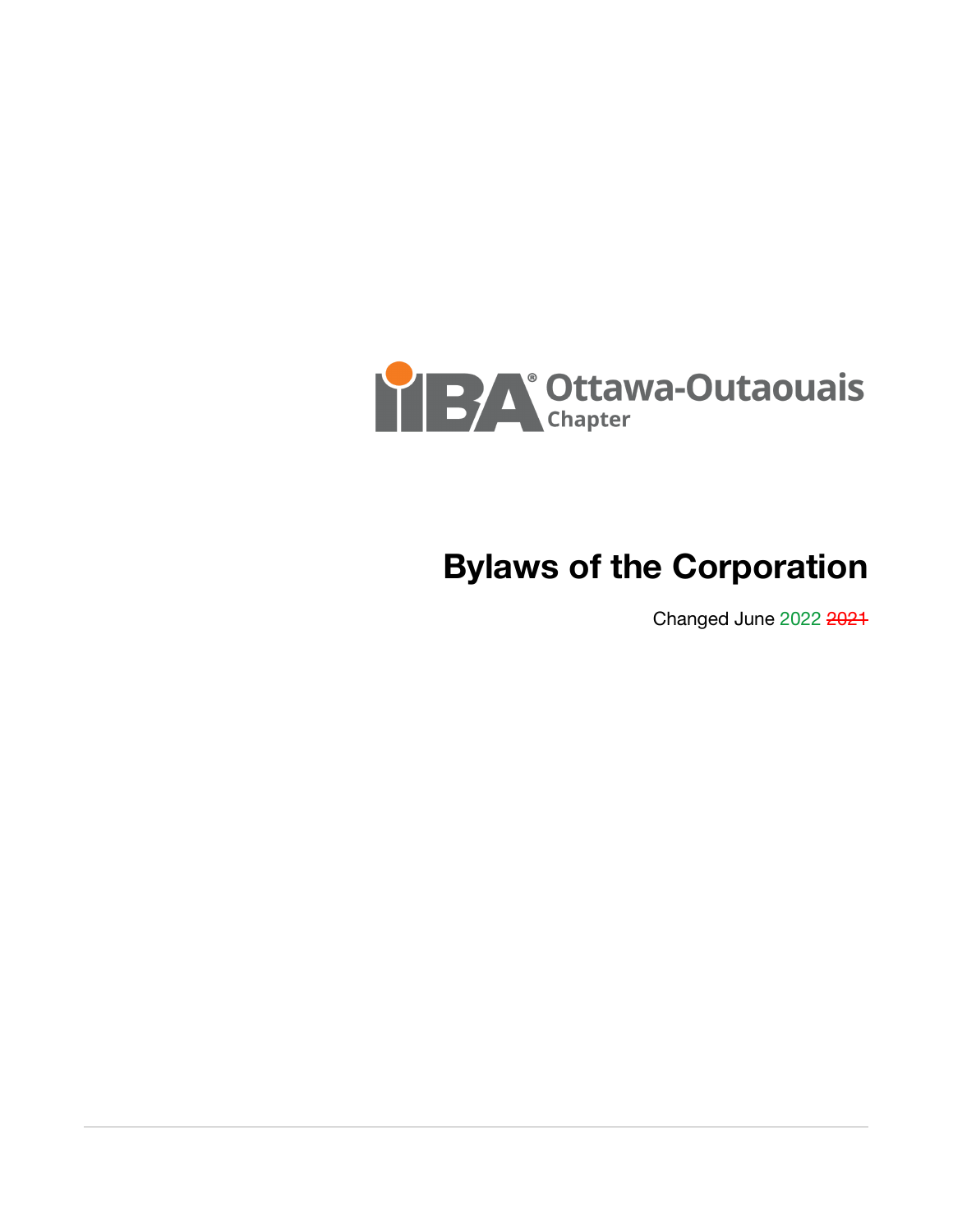

# **Bylaws of the Corporation**

Changed June 2022 2021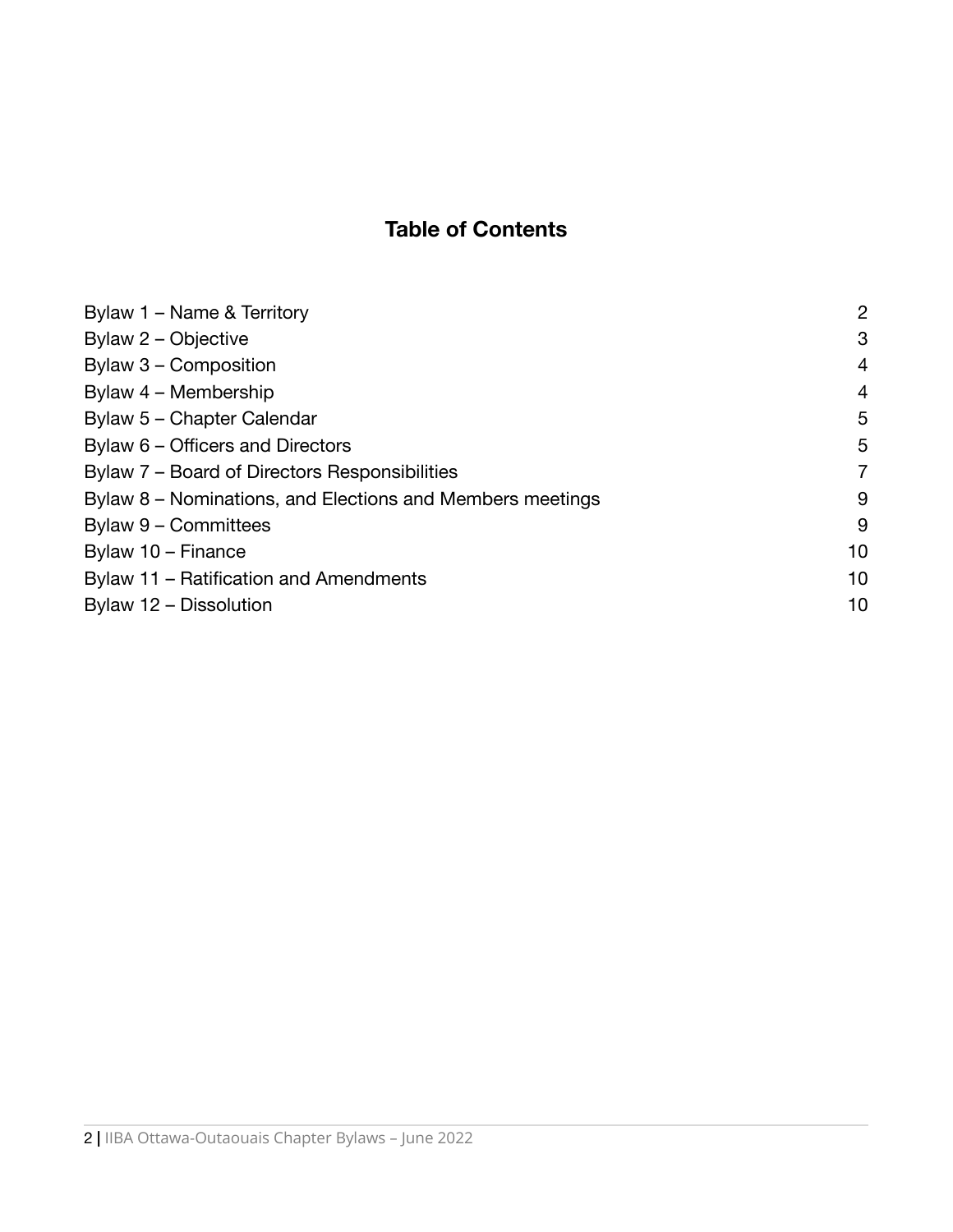## **Table of Contents**

| Bylaw 1 – Name & Territory                                | 2  |
|-----------------------------------------------------------|----|
| Bylaw 2 – Objective                                       | 3  |
| Bylaw 3 - Composition                                     | 4  |
| Bylaw 4 - Membership                                      | 4  |
| Bylaw 5 - Chapter Calendar                                | 5  |
| Bylaw 6 – Officers and Directors                          | 5  |
| Bylaw 7 – Board of Directors Responsibilities             | 7  |
| Bylaw 8 – Nominations, and Elections and Members meetings | 9  |
| Bylaw 9 - Committees                                      | 9  |
| Bylaw 10 - Finance                                        | 10 |
| Bylaw 11 – Ratification and Amendments                    | 10 |
| Bylaw 12 - Dissolution                                    | 10 |
|                                                           |    |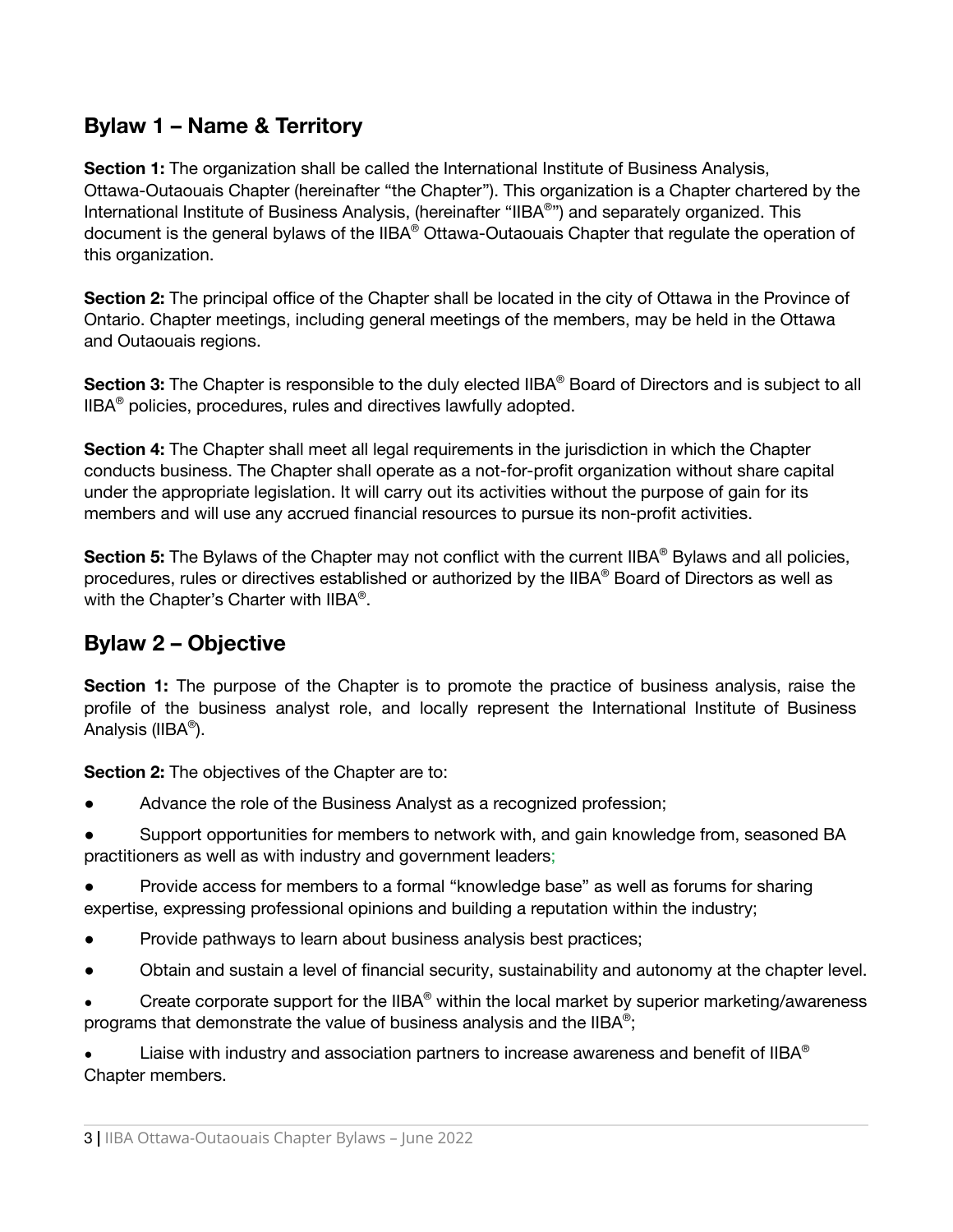### <span id="page-2-0"></span>**Bylaw 1 – Name & Territory**

**Section 1:** The organization shall be called the International Institute of Business Analysis, Ottawa-Outaouais Chapter (hereinafter "the Chapter"). This organization is a Chapter chartered by the International Institute of Business Analysis, (hereinafter "IIBA®") and separately organized. This document is the general bylaws of the IIBA® Ottawa-Outaouais Chapter that regulate the operation of this organization.

**Section 2:** The principal office of the Chapter shall be located in the city of Ottawa in the Province of Ontario. Chapter meetings, including general meetings of the members, may be held in the Ottawa and Outaouais regions.

**Section 3:** The Chapter is responsible to the duly elected IIBA ® Board of Directors and is subject to all IIBA ® policies, procedures, rules and directives lawfully adopted.

**Section 4:** The Chapter shall meet all legal requirements in the jurisdiction in which the Chapter conducts business. The Chapter shall operate as a not-for-profit organization without share capital under the appropriate legislation. It will carry out its activities without the purpose of gain for its members and will use any accrued financial resources to pursue its non-profit activities.

**Section 5:** The Bylaws of the Chapter may not conflict with the current IIBA ® Bylaws and all policies, procedures, rules or directives established or authorized by the IIBA® Board of Directors as well as with the Chapter's Charter with IIBA®.

### <span id="page-2-1"></span>**Bylaw 2 – Objective**

**Section 1:** The purpose of the Chapter is to promote the practice of business analysis, raise the profile of the business analyst role, and locally represent the International Institute of Business Analysis (IIBA®).

**Section 2:** The objectives of the Chapter are to:

- Advance the role of the Business Analyst as a recognized profession;
- Support opportunities for members to network with, and gain knowledge from, seasoned BA practitioners as well as with industry and government leaders;
- Provide access for members to a formal "knowledge base" as well as forums for sharing expertise, expressing professional opinions and building a reputation within the industry;
- Provide pathways to learn about business analysis best practices;
- Obtain and sustain a level of financial security, sustainability and autonomy at the chapter level.
- Create corporate support for the IIBA® within the local market by superior marketing/awareness programs that demonstrate the value of business analysis and the IIBA®;

 $\bullet$  Liaise with industry and association partners to increase awareness and benefit of IIBA® Chapter members.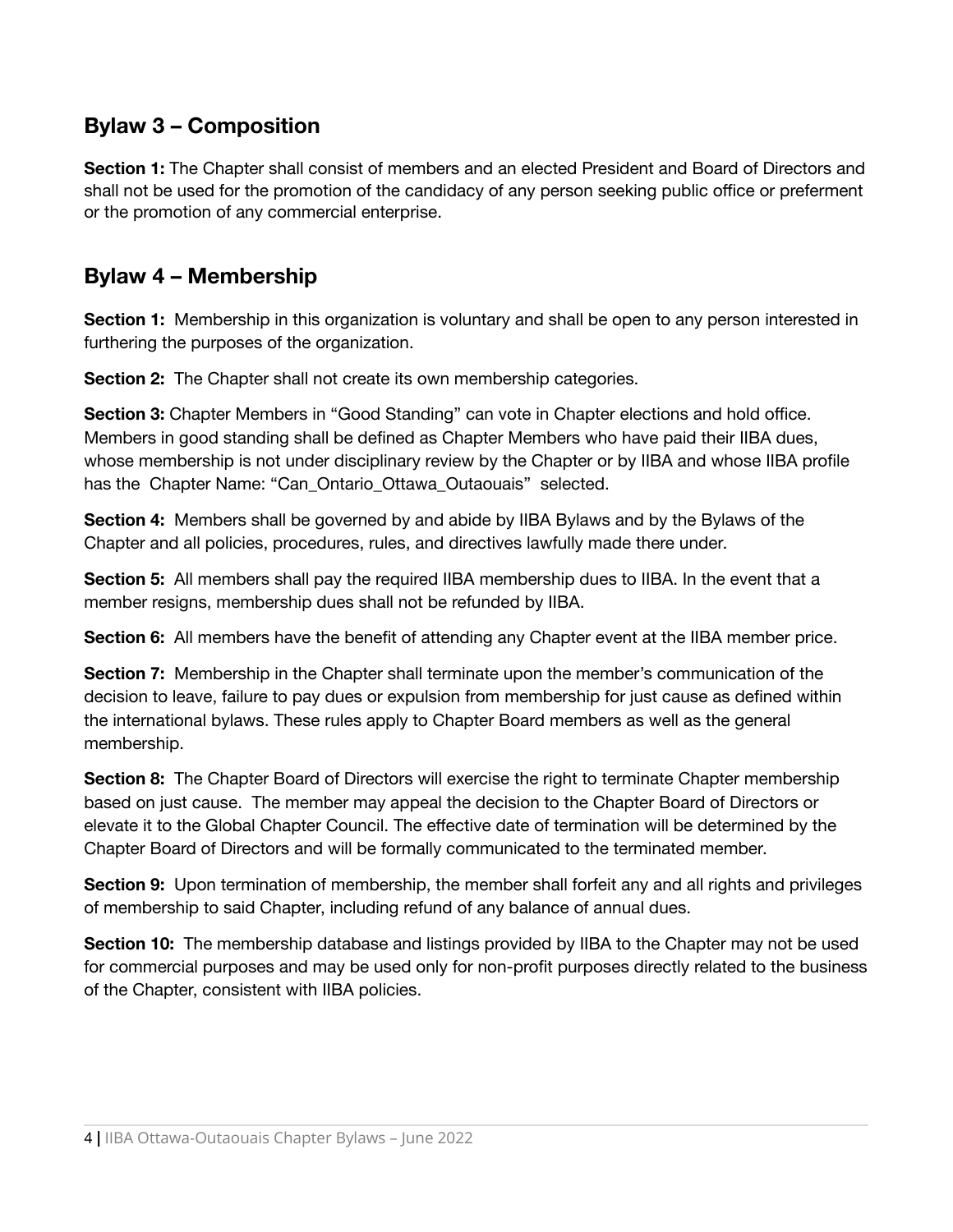### <span id="page-3-0"></span>**Bylaw 3 – Composition**

**Section 1:** The Chapter shall consist of members and an elected President and Board of Directors and shall not be used for the promotion of the candidacy of any person seeking public office or preferment or the promotion of any commercial enterprise.

### <span id="page-3-1"></span>**Bylaw 4 – Membership**

**Section 1:** Membership in this organization is voluntary and shall be open to any person interested in furthering the purposes of the organization.

**Section 2:** The Chapter shall not create its own membership categories.

**Section 3:** Chapter Members in "Good Standing" can vote in Chapter elections and hold office. Members in good standing shall be defined as Chapter Members who have paid their IIBA dues, whose membership is not under disciplinary review by the Chapter or by IIBA and whose IIBA profile has the Chapter Name: "Can Ontario Ottawa Outaouais" selected.

**Section 4:** Members shall be governed by and abide by IIBA Bylaws and by the Bylaws of the Chapter and all policies, procedures, rules, and directives lawfully made there under.

**Section 5:** All members shall pay the required IIBA membership dues to IIBA. In the event that a member resigns, membership dues shall not be refunded by IIBA.

**Section 6:** All members have the benefit of attending any Chapter event at the IIBA member price.

**Section 7:** Membership in the Chapter shall terminate upon the member's communication of the decision to leave, failure to pay dues or expulsion from membership for just cause as defined within the international bylaws. These rules apply to Chapter Board members as well as the general membership.

**Section 8:** The Chapter Board of Directors will exercise the right to terminate Chapter membership based on just cause. The member may appeal the decision to the Chapter Board of Directors or elevate it to the Global Chapter Council. The effective date of termination will be determined by the Chapter Board of Directors and will be formally communicated to the terminated member.

**Section 9:** Upon termination of membership, the member shall forfeit any and all rights and privileges of membership to said Chapter, including refund of any balance of annual dues.

**Section 10:** The membership database and listings provided by IIBA to the Chapter may not be used for commercial purposes and may be used only for non-profit purposes directly related to the business of the Chapter, consistent with IIBA policies.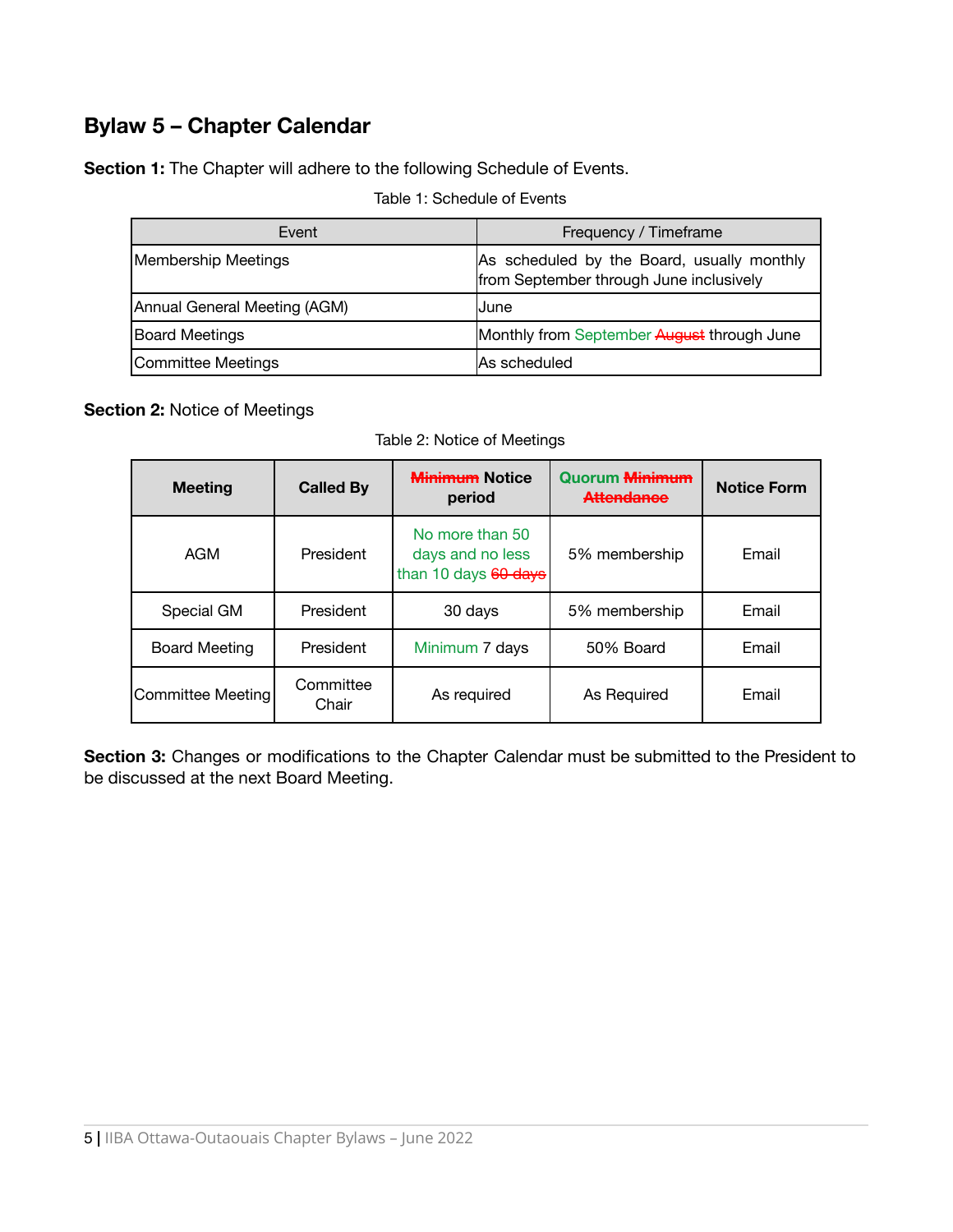### <span id="page-4-0"></span>**Bylaw 5 – Chapter Calendar**

**Section 1:** The Chapter will adhere to the following Schedule of Events.

#### Table 1: Schedule of Events

| Event                        | Frequency / Timeframe                                                                 |
|------------------------------|---------------------------------------------------------------------------------------|
| Membership Meetings          | As scheduled by the Board, usually monthly<br>from September through June inclusively |
| Annual General Meeting (AGM) | IJune                                                                                 |
| Board Meetings               | Monthly from September August through June                                            |
| Committee Meetings           | <b>As scheduled</b>                                                                   |

#### **Section 2:** Notice of Meetings

Table 2: Notice of Meetings

| <b>Meeting</b>       | <b>Called By</b>   | <b>Minimum Notice</b><br>period                             | <b>Quorum <del>Minimum</del></b><br><b>Attendance</b> | <b>Notice Form</b> |
|----------------------|--------------------|-------------------------------------------------------------|-------------------------------------------------------|--------------------|
| AGM                  | President          | No more than 50<br>days and no less<br>than 10 days 60 days | 5% membership                                         | Email              |
| Special GM           | President          | 30 days                                                     | 5% membership                                         | Email              |
| <b>Board Meeting</b> | President          | Minimum 7 days                                              | 50% Board                                             | Email              |
| Committee Meeting    | Committee<br>Chair | As required                                                 | As Required                                           | Email              |

**Section 3:** Changes or modifications to the Chapter Calendar must be submitted to the President to be discussed at the next Board Meeting.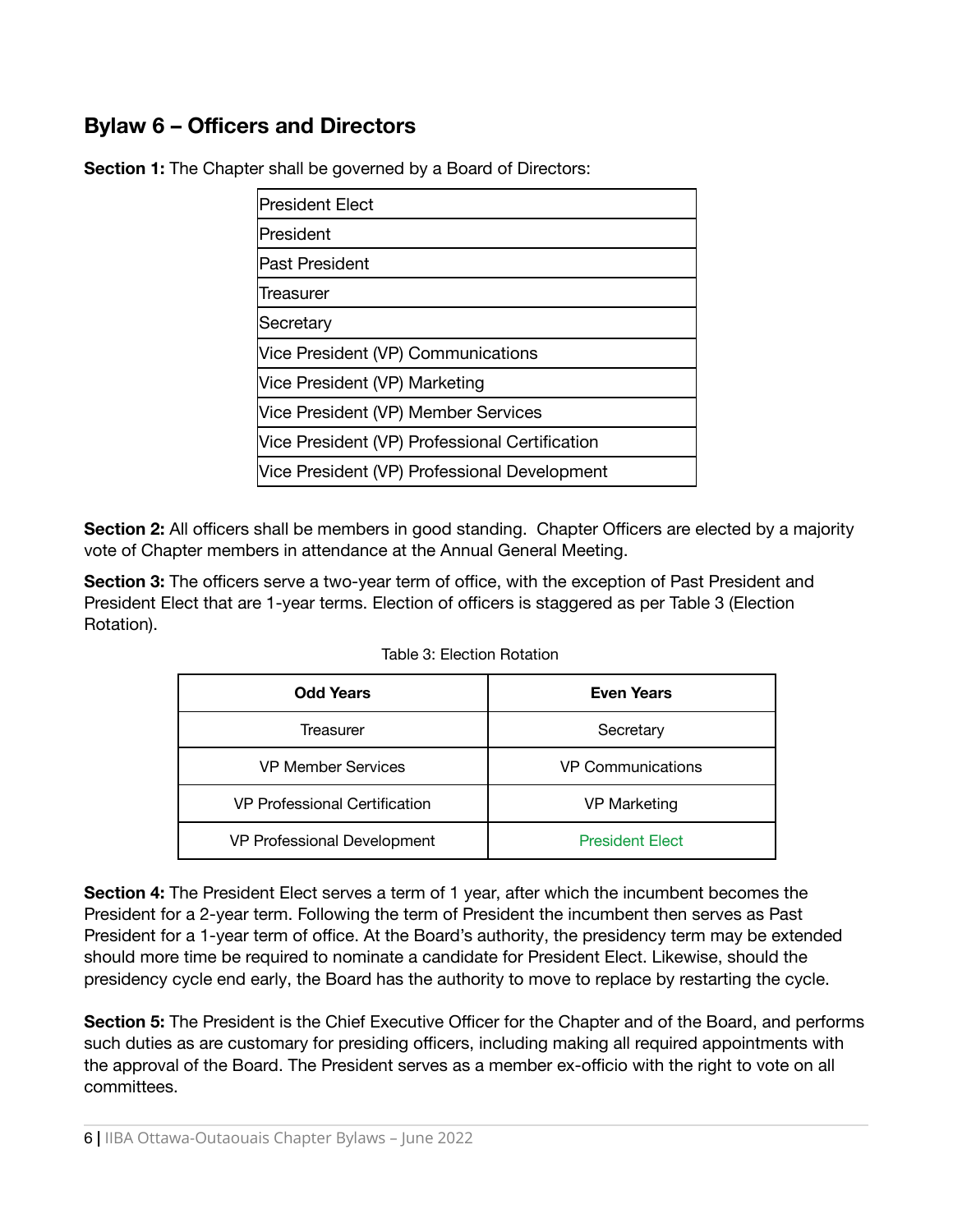### <span id="page-5-0"></span>**Bylaw 6 – Officers and Directors**

**Section 1:** The Chapter shall be governed by a Board of Directors:

**Section 2:** All officers shall be members in good standing. Chapter Officers are elected by a majority vote of Chapter members in attendance at the Annual General Meeting.

**Section 3:** The officers serve a two-year term of office, with the exception of Past President and President Elect that are 1-year terms. Election of officers is staggered as per Table 3 (Election Rotation).

| <b>Odd Years</b>              | <b>Even Years</b>        |  |
|-------------------------------|--------------------------|--|
| Treasurer                     | Secretary                |  |
| <b>VP Member Services</b>     | <b>VP Communications</b> |  |
| VP Professional Certification | <b>VP Marketing</b>      |  |
| VP Professional Development   | <b>President Elect</b>   |  |

Table 3: Election Rotation

**Section 4:** The President Elect serves a term of 1 year, after which the incumbent becomes the President for a 2-year term. Following the term of President the incumbent then serves as Past President for a 1-year term of office. At the Board's authority, the presidency term may be extended should more time be required to nominate a candidate for President Elect. Likewise, should the presidency cycle end early, the Board has the authority to move to replace by restarting the cycle.

**Section 5:** The President is the Chief Executive Officer for the Chapter and of the Board, and performs such duties as are customary for presiding officers, including making all required appointments with the approval of the Board. The President serves as a member ex-officio with the right to vote on all committees.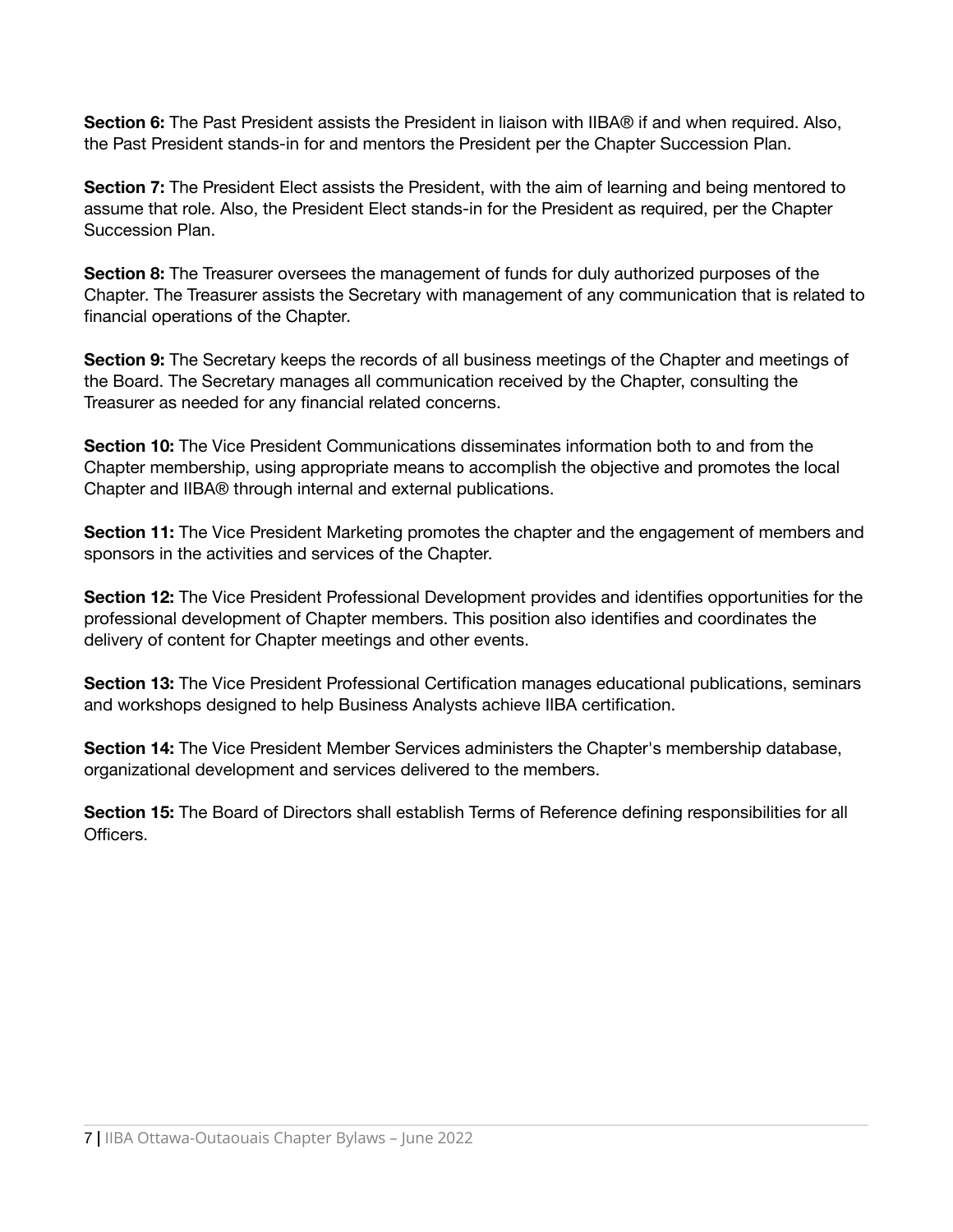**Section 6:** The Past President assists the President in liaison with IIBA® if and when required. Also, the Past President stands-in for and mentors the President per the Chapter Succession Plan.

**Section 7:** The President Elect assists the President, with the aim of learning and being mentored to assume that role. Also, the President Elect stands-in for the President as required, per the Chapter Succession Plan.

**Section 8:** The Treasurer oversees the management of funds for duly authorized purposes of the Chapter. The Treasurer assists the Secretary with management of any communication that is related to financial operations of the Chapter.

**Section 9:** The Secretary keeps the records of all business meetings of the Chapter and meetings of the Board. The Secretary manages all communication received by the Chapter, consulting the Treasurer as needed for any financial related concerns.

**Section 10:** The Vice President Communications disseminates information both to and from the Chapter membership, using appropriate means to accomplish the objective and promotes the local Chapter and IIBA® through internal and external publications.

**Section 11:** The Vice President Marketing promotes the chapter and the engagement of members and sponsors in the activities and services of the Chapter.

**Section 12:** The Vice President Professional Development provides and identifies opportunities for the professional development of Chapter members. This position also identifies and coordinates the delivery of content for Chapter meetings and other events.

**Section 13:** The Vice President Professional Certification manages educational publications, seminars and workshops designed to help Business Analysts achieve IIBA certification.

**Section 14:** The Vice President Member Services administers the Chapter's membership database, organizational development and services delivered to the members.

**Section 15:** The Board of Directors shall establish Terms of Reference defining responsibilities for all **Officers**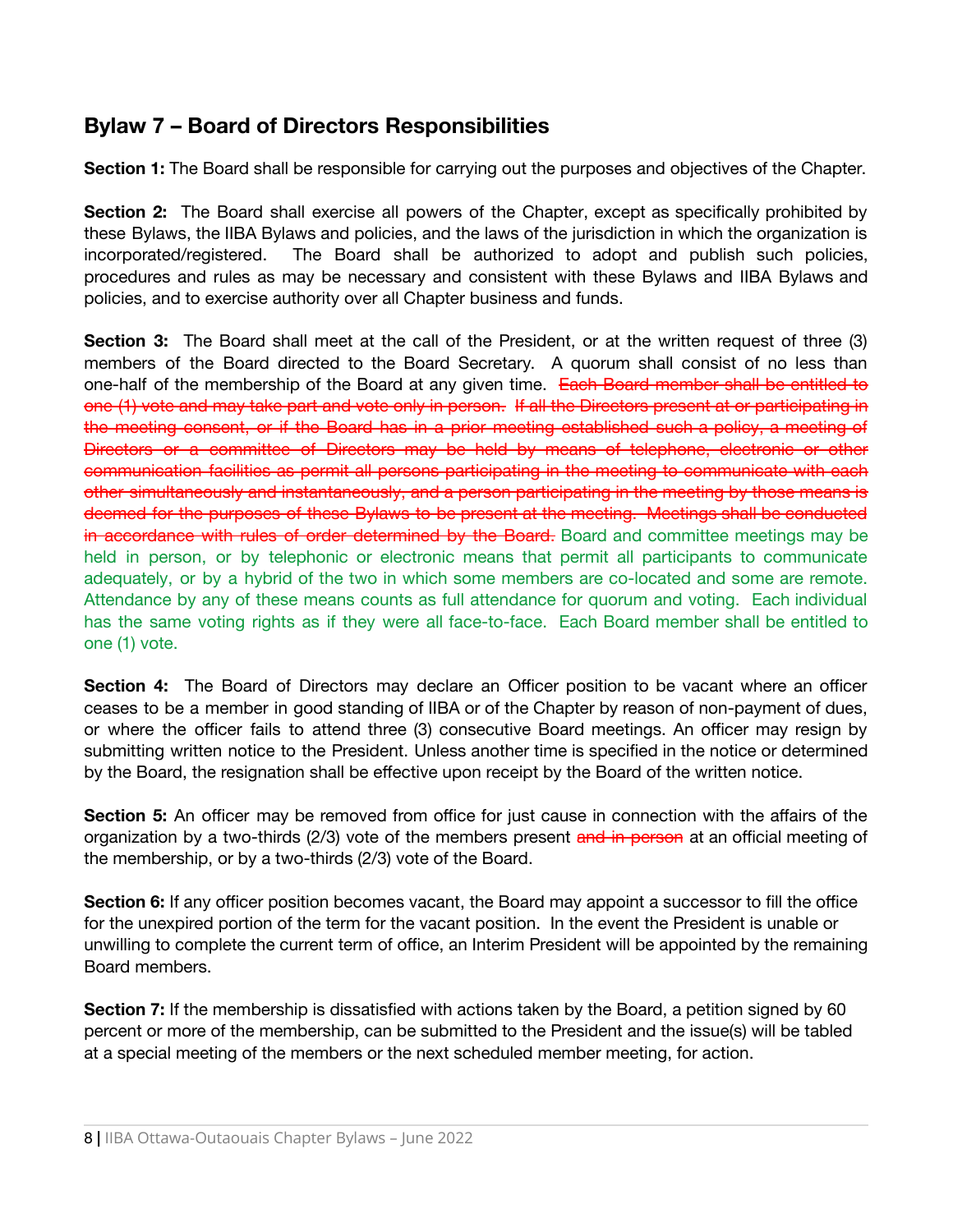### <span id="page-7-0"></span>**Bylaw 7 – Board of Directors Responsibilities**

**Section 1:** The Board shall be responsible for carrying out the purposes and objectives of the Chapter.

**Section 2:** The Board shall exercise all powers of the Chapter, except as specifically prohibited by these Bylaws, the IIBA Bylaws and policies, and the laws of the jurisdiction in which the organization is incorporated/registered. The Board shall be authorized to adopt and publish such policies, procedures and rules as may be necessary and consistent with these Bylaws and IIBA Bylaws and policies, and to exercise authority over all Chapter business and funds.

**Section 3:** The Board shall meet at the call of the President, or at the written request of three (3) members of the Board directed to the Board Secretary. A quorum shall consist of no less than one-half of the membership of the Board at any given time. Each Board member shall be entitled to one (1) vote and may take part and vote only in person. If all the Directors present at or participating in the meeting consent, or if the Board has in a prior meeting established such a policy, a meeting of Directors or a committee of Directors may be held by means of telephone, electronic or other communication facilities as permit all persons participating in the meeting to communicate with each other simultaneously and instantaneously, and a person participating in the meeting by those means is deemed for the purposes of these Bylaws to be present at the meeting. Meetings shall be conducted in accordance with rules of order determined by the Board. Board and committee meetings may be held in person, or by telephonic or electronic means that permit all participants to communicate adequately, or by a hybrid of the two in which some members are co-located and some are remote. Attendance by any of these means counts as full attendance for quorum and voting. Each individual has the same voting rights as if they were all face-to-face. Each Board member shall be entitled to one (1) vote.

**Section 4:** The Board of Directors may declare an Officer position to be vacant where an officer ceases to be a member in good standing of IIBA or of the Chapter by reason of non-payment of dues, or where the officer fails to attend three (3) consecutive Board meetings. An officer may resign by submitting written notice to the President. Unless another time is specified in the notice or determined by the Board, the resignation shall be effective upon receipt by the Board of the written notice.

**Section 5:** An officer may be removed from office for just cause in connection with the affairs of the organization by a two-thirds (2/3) vote of the members present and in person at an official meeting of the membership, or by a two-thirds (2/3) vote of the Board.

**Section 6:** If any officer position becomes vacant, the Board may appoint a successor to fill the office for the unexpired portion of the term for the vacant position. In the event the President is unable or unwilling to complete the current term of office, an Interim President will be appointed by the remaining Board members.

**Section 7:** If the membership is dissatisfied with actions taken by the Board, a petition signed by 60 percent or more of the membership, can be submitted to the President and the issue(s) will be tabled at a special meeting of the members or the next scheduled member meeting, for action.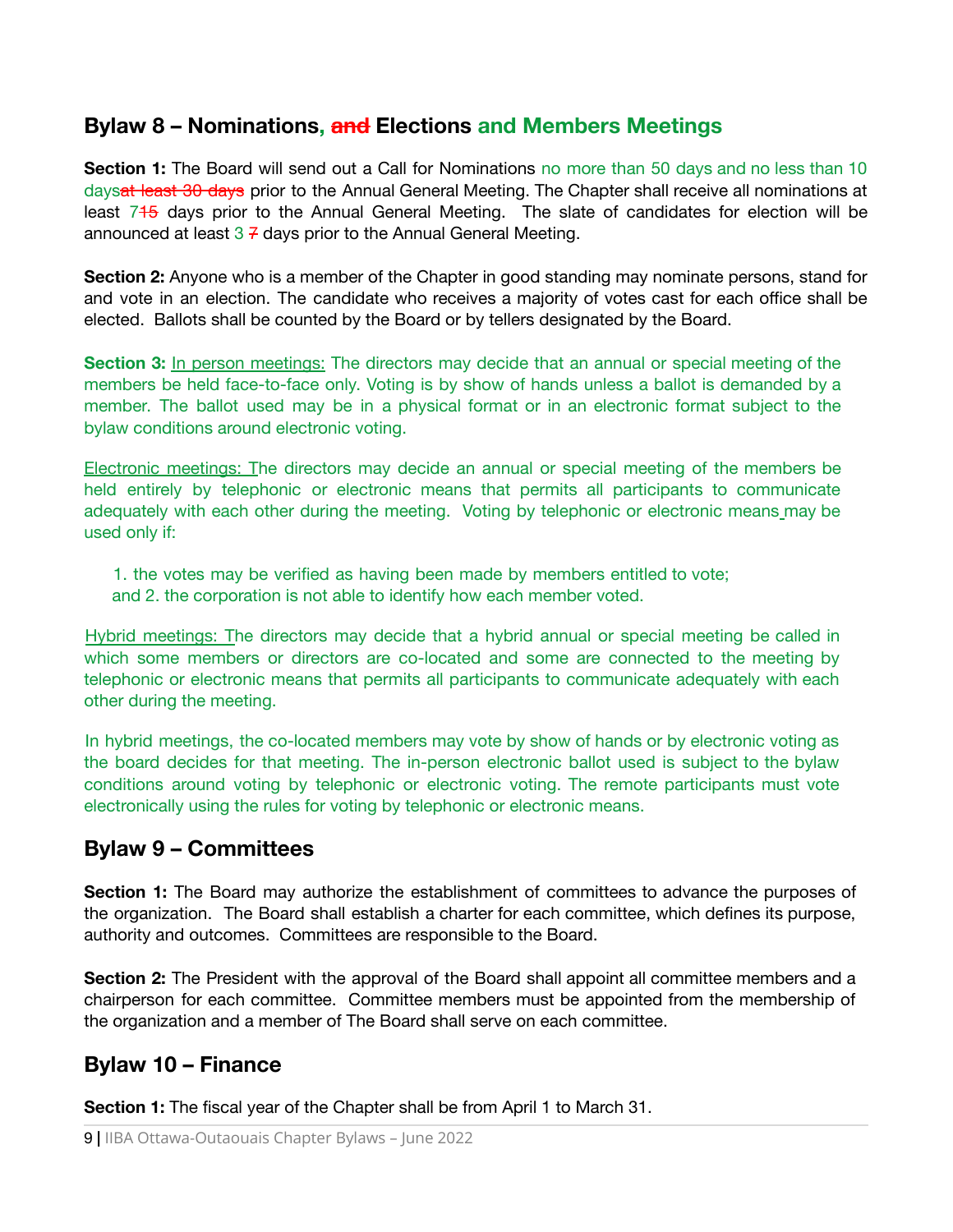### <span id="page-8-0"></span>**Bylaw 8 – Nominations, and Elections and Members Meetings**

**Section 1:** The Board will send out a Call for Nominations no more than 50 days and no less than 10 daysat least 30 days prior to the Annual General Meeting. The Chapter shall receive all nominations at least 745 days prior to the Annual General Meeting. The slate of candidates for election will be announced at least  $3 \frac{7}{1}$  days prior to the Annual General Meeting.

**Section 2:** Anyone who is a member of the Chapter in good standing may nominate persons, stand for and vote in an election. The candidate who receives a majority of votes cast for each office shall be elected. Ballots shall be counted by the Board or by tellers designated by the Board.

**Section 3:** In person meetings: The directors may decide that an annual or special meeting of the members be held face-to-face only. Voting is by show of hands unless a ballot is demanded by a member. The ballot used may be in a physical format or in an electronic format subject to the bylaw conditions around electronic voting.

Electronic meetings: The directors may decide an annual or special meeting of the members be held entirely by telephonic or electronic means that permits all participants to communicate adequately with each other during the meeting. Voting by telephonic or electronic means may be used only if:

- 1. the votes may be verified as having been made by members entitled to vote;
- and 2. the corporation is not able to identify how each member voted.

Hybrid meetings: The directors may decide that a hybrid annual or special meeting be called in which some members or directors are co-located and some are connected to the meeting by telephonic or electronic means that permits all participants to communicate adequately with each other during the meeting.

In hybrid meetings, the co-located members may vote by show of hands or by electronic voting as the board decides for that meeting. The in-person electronic ballot used is subject to the bylaw conditions around voting by telephonic or electronic voting. The remote participants must vote electronically using the rules for voting by telephonic or electronic means.

### <span id="page-8-1"></span>**Bylaw 9 – Committees**

**Section 1:** The Board may authorize the establishment of committees to advance the purposes of the organization. The Board shall establish a charter for each committee, which defines its purpose, authority and outcomes. Committees are responsible to the Board.

**Section 2:** The President with the approval of the Board shall appoint all committee members and a chairperson for each committee. Committee members must be appointed from the membership of the organization and a member of The Board shall serve on each committee.

### <span id="page-8-2"></span>**Bylaw 10 – Finance**

**Section 1:** The fiscal year of the Chapter shall be from April 1 to March 31.